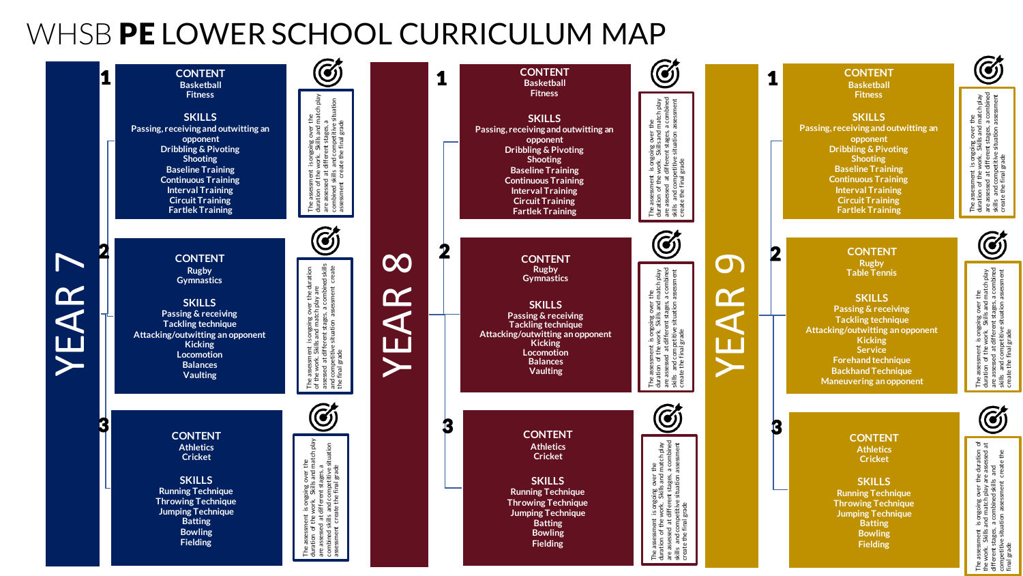## WHSB PE LOWER SCHOOL CURRICULUM MAP

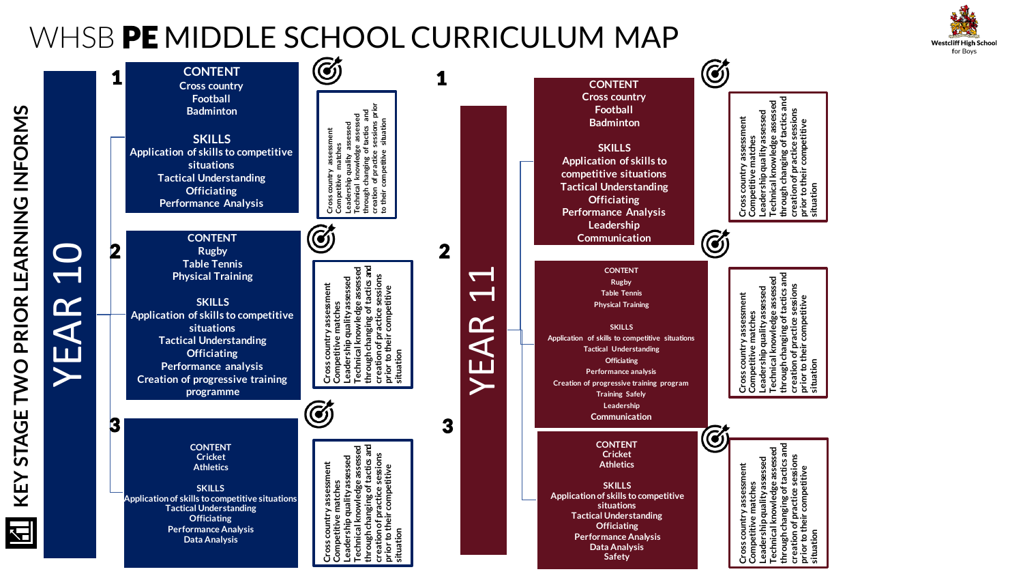# WHSB PE MIDDLE SCHOOL CURRICULUM MAP



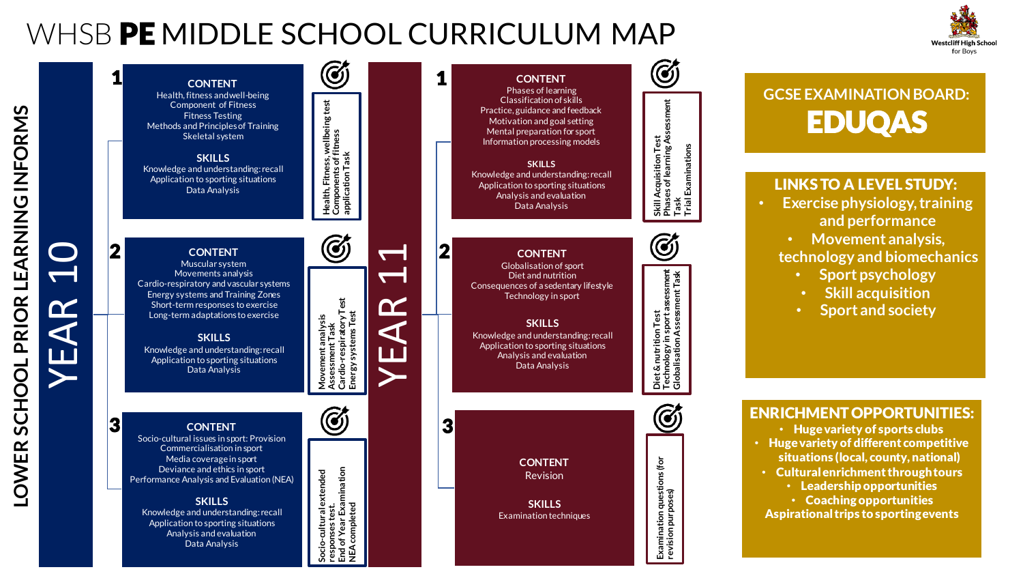# WHSB PE MIDDLE SCHOOL CURRICULUM MAP





Data Analysis

### **GCSE EXAMINATION BOARD:** EDUQAS

#### LINKS TO A LEVEL STUDY:

- **Exercise physiology, training and performance** 
	- **Movement analysis, technology and biomechanics** 
		- **Sport psychology**
		- **Skill acquisition**
		- **Sport and society**

ENRICHMENT OPPORTUNITIES:

- Huge variety of sports clubs
- Huge variety of different competitive situations (local, county, national)
- Cultural enrichment through tours
	- Leadership opportunities
	- Coaching opportunities

Aspirational trips to sporting events